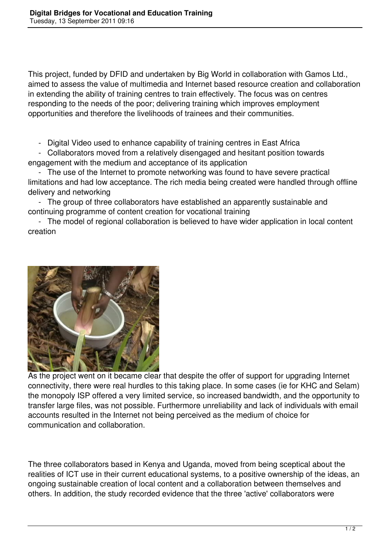This project, funded by DFID and undertaken by Big World in collaboration with Gamos Ltd., aimed to assess the value of multimedia and Internet based resource creation and collaboration in extending the ability of training centres to train effectively. The focus was on centres responding to the needs of the poor; delivering training which improves employment opportunities and therefore the livelihoods of trainees and their communities.

- Digital Video used to enhance capability of training centres in East Africa

 - Collaborators moved from a relatively disengaged and hesitant position towards engagement with the medium and acceptance of its application

 - The use of the Internet to promote networking was found to have severe practical limitations and had low acceptance. The rich media being created were handled through offline delivery and networking

 - The group of three collaborators have established an apparently sustainable and continuing programme of content creation for vocational training

 - The model of regional collaboration is believed to have wider application in local content creation



As the project went on it became clear that despite the offer of support for upgrading Internet connectivity, there were real hurdles to this taking place. In some cases (ie for KHC and Selam) the monopoly ISP offered a very limited service, so increased bandwidth, and the opportunity to transfer large files, was not possible. Furthermore unreliability and lack of individuals with email accounts resulted in the Internet not being perceived as the medium of choice for communication and collaboration.

The three collaborators based in Kenya and Uganda, moved from being sceptical about the realities of ICT use in their current educational systems, to a positive ownership of the ideas, an ongoing sustainable creation of local content and a collaboration between themselves and others. In addition, the study recorded evidence that the three 'active' collaborators were